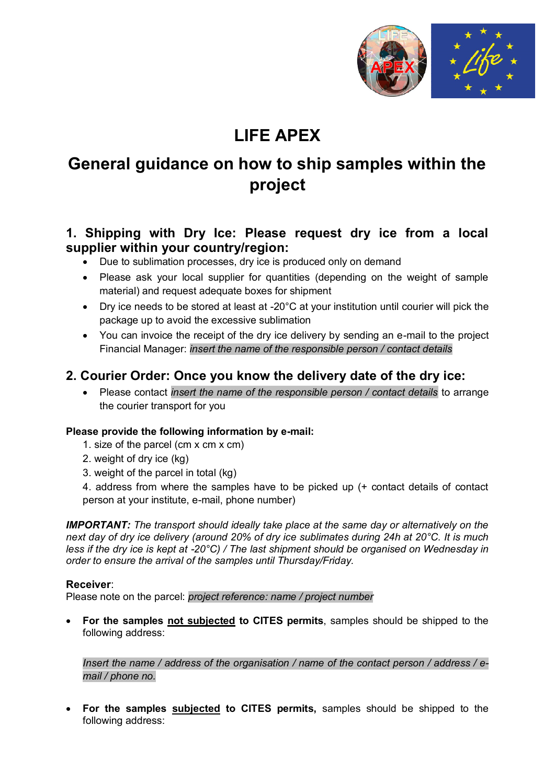

# **LIFE APEX**

## **General guidance on how to ship samples within the project**

## **1. Shipping with Dry Ice: Please request dry ice from a local supplier within your country/region:**

- Due to sublimation processes, dry ice is produced only on demand
- Please ask your local supplier for quantities (depending on the weight of sample material) and request adequate boxes for shipment
- Dry ice needs to be stored at least at -20°C at your institution until courier will pick the package up to avoid the excessive sublimation
- You can invoice the receipt of the dry ice delivery by sending an e-mail to the project Financial Manager: *insert the name of the responsible person / contact details*

## **2. Courier Order: Once you know the delivery date of the dry ice:**

 Please contact *insert the name of the responsible person / contact details* to arrange the courier transport for you

#### **Please provide the following information by e-mail:**

- 1. size of the parcel (cm x cm x cm)
- 2. weight of dry ice (kg)
- 3. weight of the parcel in total (kg)

4. address from where the samples have to be picked up (+ contact details of contact person at your institute, e-mail, phone number)

*IMPORTANT: The transport should ideally take place at the same day or alternatively on the next day of dry ice delivery (around 20% of dry ice sublimates during 24h at 20°C. It is much less if the dry ice is kept at -20°C) / The last shipment should be organised on Wednesday in order to ensure the arrival of the samples until Thursday/Friday.* 

#### **Receiver**:

Please note on the parcel: *project reference: name / project number*

 **For the samples not subjected to CITES permits**, samples should be shipped to the following address:

*Insert the name / address of the organisation / name of the contact person / address / email / phone no.*

 **For the samples subjected to CITES permits,** samples should be shipped to the following address: